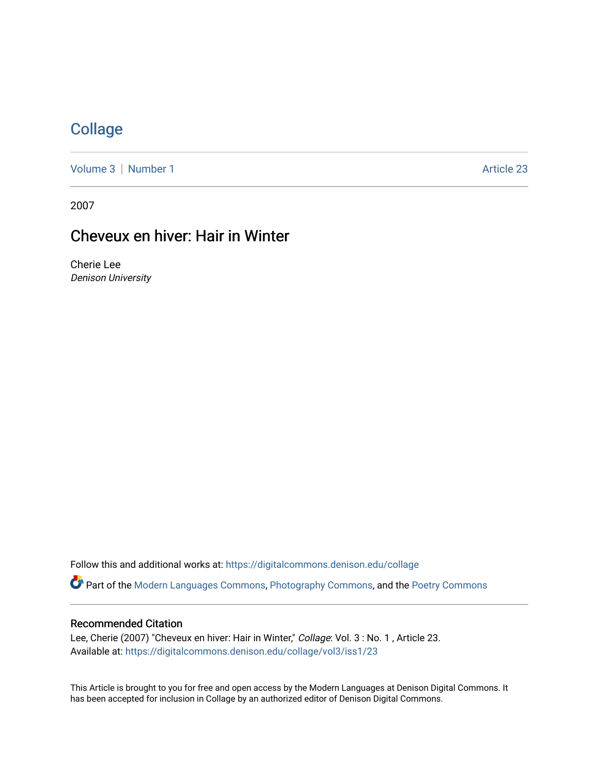# **[Collage](https://digitalcommons.denison.edu/collage)**

[Volume 3](https://digitalcommons.denison.edu/collage/vol3) | [Number 1](https://digitalcommons.denison.edu/collage/vol3/iss1) Article 23

2007

# Cheveux en hiver: Hair in Winter

Cherie Lee Denison University

Follow this and additional works at: [https://digitalcommons.denison.edu/collage](https://digitalcommons.denison.edu/collage?utm_source=digitalcommons.denison.edu%2Fcollage%2Fvol3%2Fiss1%2F23&utm_medium=PDF&utm_campaign=PDFCoverPages)  Part of the [Modern Languages Commons,](http://network.bepress.com/hgg/discipline/1130?utm_source=digitalcommons.denison.edu%2Fcollage%2Fvol3%2Fiss1%2F23&utm_medium=PDF&utm_campaign=PDFCoverPages) [Photography Commons](http://network.bepress.com/hgg/discipline/1142?utm_source=digitalcommons.denison.edu%2Fcollage%2Fvol3%2Fiss1%2F23&utm_medium=PDF&utm_campaign=PDFCoverPages), and the [Poetry Commons](http://network.bepress.com/hgg/discipline/1153?utm_source=digitalcommons.denison.edu%2Fcollage%2Fvol3%2Fiss1%2F23&utm_medium=PDF&utm_campaign=PDFCoverPages)

#### Recommended Citation

Lee, Cherie (2007) "Cheveux en hiver: Hair in Winter," Collage: Vol. 3 : No. 1, Article 23. Available at: [https://digitalcommons.denison.edu/collage/vol3/iss1/23](https://digitalcommons.denison.edu/collage/vol3/iss1/23?utm_source=digitalcommons.denison.edu%2Fcollage%2Fvol3%2Fiss1%2F23&utm_medium=PDF&utm_campaign=PDFCoverPages)

This Article is brought to you for free and open access by the Modern Languages at Denison Digital Commons. It has been accepted for inclusion in Collage by an authorized editor of Denison Digital Commons.